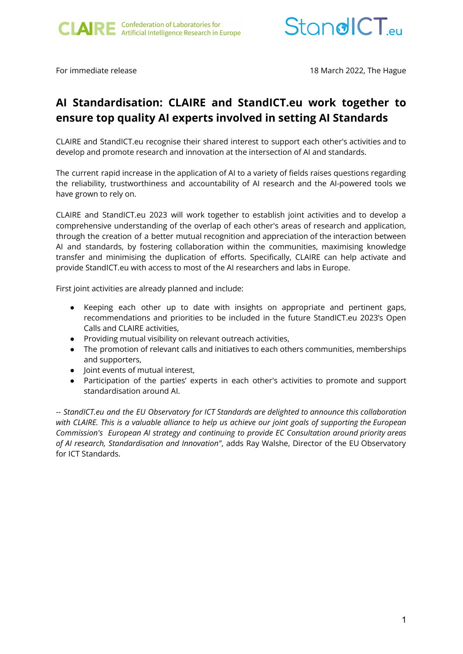



For immediate release 18 March 2022, The Hague

## **AI Standardisation: CLAIRE and StandICT.eu work together to ensure top quality AI experts involved in setting AI Standards**

CLAIRE and StandICT.eu recognise their shared interest to support each other's activities and to develop and promote research and innovation at the intersection of AI and standards.

The current rapid increase in the application of AI to a variety of fields raises questions regarding the reliability, trustworthiness and accountability of AI research and the AI-powered tools we have grown to rely on.

CLAIRE and StandICT.eu 2023 will work together to establish joint activities and to develop a comprehensive understanding of the overlap of each other's areas of research and application, through the creation of a better mutual recognition and appreciation of the interaction between AI and standards, by fostering collaboration within the communities, maximising knowledge transfer and minimising the duplication of efforts. Specifically, CLAIRE can help activate and provide StandICT.eu with access to most of the AI researchers and labs in Europe.

First joint activities are already planned and include:

- Keeping each other up to date with insights on appropriate and pertinent gaps, recommendations and priorities to be included in the future StandICT.eu 2023's Open Calls and CLAIRE activities,
- Providing mutual visibility on relevant outreach activities,
- The promotion of relevant calls and initiatives to each others communities, memberships and supporters,
- **Joint events of mutual interest.**
- Participation of the parties' experts in each other's activities to promote and support standardisation around AI.

-- *StandICT.eu and the EU Observatory for ICT Standards are delighted to announce this collaboration* with CLAIRE. This is a valuable alliance to help us achieve our joint goals of supporting the European *Commission's European AI strategy and continuing to provide EC Consultation around priority areas of AI research, Standardisation and Innovation"*, adds Ray Walshe, Director of the EU Observatory for ICT Standards.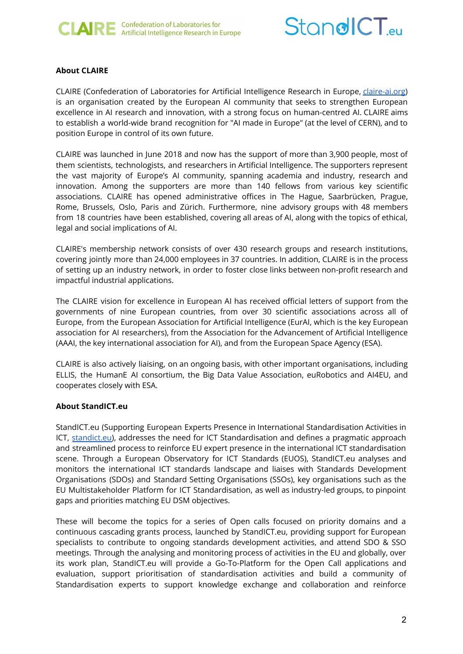



## **About CLAIRE**

CLAIRE (Confederation of Laboratories for Artificial Intelligence Research in Europe, *claire-ai.org*) is an organisation created by the European AI community that seeks to strengthen European excellence in AI research and innovation, with a strong focus on human-centred AI. CLAIRE aims to establish a world-wide brand recognition for "AI made in Europe" (at the level of CERN), and to position Europe in control of its own future.

CLAIRE was launched in June 2018 and now has the support of more than 3,900 people, most of them scientists, technologists, and researchers in Artificial Intelligence. The supporters represent the vast majority of Europe's AI community, spanning academia and industry, research and innovation. Among the supporters are more than 140 fellows from various key scientific associations. CLAIRE has opened administrative offices in The Hague, Saarbrücken, Prague, Rome, Brussels, Oslo, Paris and Zürich. Furthermore, nine advisory groups with 48 members from 18 countries have been established, covering all areas of AI, along with the topics of ethical, legal and social implications of AI.

CLAIRE's membership network consists of over 430 research groups and research institutions, covering jointly more than 24,000 employees in 37 countries. In addition, CLAIRE is in the process of setting up an industry network, in order to foster close links between non-profit research and impactful industrial applications.

The CLAIRE vision for excellence in European AI has received official letters of support from the governments of nine European countries, from over 30 scientific associations across all of Europe, from the European Association for Artificial Intelligence (EurAI, which is the key European association for AI researchers), from the Association for the Advancement of Artificial Intelligence (AAAI, the key international association for AI), and from the European Space Agency (ESA).

CLAIRE is also actively liaising, on an ongoing basis, with other important organisations, including ELLIS, the HumanE AI consortium, the Big Data Value Association, euRobotics and AI4EU, and cooperates closely with ESA.

## **About StandICT.eu**

StandICT.eu (Supporting European Experts Presence in International Standardisation Activities in ICT, [standict.eu\)](http://standict.eu), addresses the need for ICT Standardisation and defines a pragmatic approach and streamlined process to reinforce EU expert presence in the international ICT standardisation scene. Through a European Observatory for ICT Standards (EUOS), StandICT.eu analyses and monitors the international ICT standards landscape and liaises with Standards Development Organisations (SDOs) and Standard Setting Organisations (SSOs), key organisations such as the EU Multistakeholder Platform for ICT Standardisation, as well as industry-led groups, to pinpoint gaps and priorities matching EU DSM objectives.

These will become the topics for a series of Open calls focused on priority domains and a continuous cascading grants process, launched by StandICT.eu, providing support for European specialists to contribute to ongoing standards development activities, and attend SDO & SSO meetings. Through the analysing and monitoring process of activities in the EU and globally, over its work plan, StandICT.eu will provide a Go-To-Platform for the Open Call applications and evaluation, support prioritisation of standardisation activities and build a community of Standardisation experts to support knowledge exchange and collaboration and reinforce